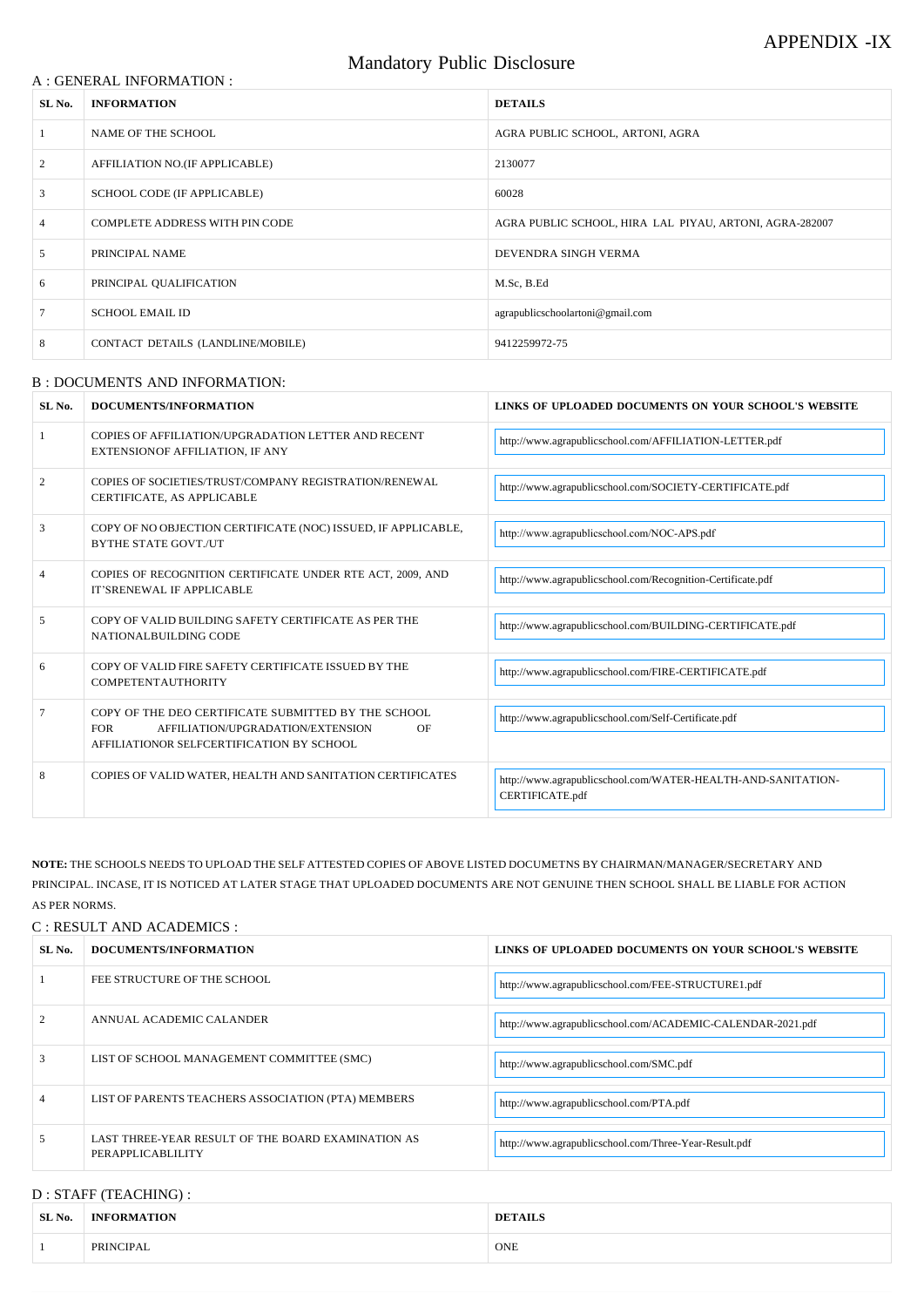### A : GENERAL INFORMATION :

# Mandatory Public Disclosure

| SL No. | <b>INFORMATION</b>                    | <b>DETAILS</b>                                          |
|--------|---------------------------------------|---------------------------------------------------------|
|        | NAME OF THE SCHOOL                    | AGRA PUBLIC SCHOOL, ARTONI, AGRA                        |
| 2      | AFFILIATION NO.(IF APPLICABLE)        | 2130077                                                 |
| 3      | SCHOOL CODE (IF APPLICABLE)           | 60028                                                   |
| 4      | <b>COMPLETE ADDRESS WITH PIN CODE</b> | AGRA PUBLIC SCHOOL, HIRA LAL PIYAU, ARTONI, AGRA-282007 |
| 5      | PRINCIPAL NAME                        | DEVENDRA SINGH VERMA                                    |
| 6      | PRINCIPAL QUALIFICATION               | M.Sc, B.Ed                                              |
|        | <b>SCHOOL EMAIL ID</b>                | agrapublicschoolartoni@gmail.com                        |
| 8      | CONTACT DETAILS (LANDLINE/MOBILE)     | 9412259972-75                                           |

#### B : DOCUMENTS AND INFORMATION:

| 2              | ANNUAL ACADEMIC CALANDER                                                | http://www.agrapublicschool.com/ACADEMIC-CALENDAR-2021.pdf |
|----------------|-------------------------------------------------------------------------|------------------------------------------------------------|
| 3              | LIST OF SCHOOL MANAGEMENT COMMITTEE (SMC)                               | http://www.agrapublicschool.com/SMC.pdf                    |
| $\overline{4}$ | LIST OF PARENTS TEACHERS ASSOCIATION (PTA) MEMBERS                      | http://www.agrapublicschool.com/PTA.pdf                    |
| 5              | LAST THREE-YEAR RESULT OF THE BOARD EXAMINATION AS<br>PERAPPLICABLILITY | http://www.agrapublicschool.com/Three-Year-Result.pdf      |

## D : STAFF (TEACHING) :

| SL <sub>No.</sub> | DOCUMENTS/INFORMATION                                                                                                                                     | LINKS OF UPLOADED DOCUMENTS ON YOUR SCHOOL'S WEBSITE                            |  |
|-------------------|-----------------------------------------------------------------------------------------------------------------------------------------------------------|---------------------------------------------------------------------------------|--|
|                   | COPIES OF AFFILIATION/UPGRADATION LETTER AND RECENT<br>EXTENSIONOF AFFILIATION, IF ANY                                                                    | http://www.agrapublicschool.com/AFFILIATION-LETTER.pdf                          |  |
| 2                 | COPIES OF SOCIETIES/TRUST/COMPANY REGISTRATION/RENEWAL<br>CERTIFICATE, AS APPLICABLE                                                                      | http://www.agrapublicschool.com/SOCIETY-CERTIFICATE.pdf                         |  |
| 3                 | COPY OF NO OBJECTION CERTIFICATE (NOC) ISSUED, IF APPLICABLE,<br><b>BYTHE STATE GOVT./UT</b>                                                              | http://www.agrapublicschool.com/NOC-APS.pdf                                     |  |
| $\overline{4}$    | COPIES OF RECOGNITION CERTIFICATE UNDER RTE ACT, 2009, AND<br>IT'SRENEWAL IF APPLICABLE                                                                   | http://www.agrapublicschool.com/Recognition-Certificate.pdf                     |  |
| 5                 | COPY OF VALID BUILDING SAFETY CERTIFICATE AS PER THE<br>NATIONALBUILDING CODE                                                                             | http://www.agrapublicschool.com/BUILDING-CERTIFICATE.pdf                        |  |
| 6                 | COPY OF VALID FIRE SAFETY CERTIFICATE ISSUED BY THE<br><b>COMPETENTAUTHORITY</b>                                                                          | http://www.agrapublicschool.com/FIRE-CERTIFICATE.pdf                            |  |
|                   | COPY OF THE DEO CERTIFICATE SUBMITTED BY THE SCHOOL<br><b>FOR</b><br>AFFILIATION/UPGRADATION/EXTENSION<br>OF<br>AFFILIATIONOR SELFCERTIFICATION BY SCHOOL | http://www.agrapublicschool.com/Self-Certificate.pdf                            |  |
| 8                 | COPIES OF VALID WATER, HEALTH AND SANITATION CERTIFICATES                                                                                                 | http://www.agrapublicschool.com/WATER-HEALTH-AND-SANITATION-<br>CERTIFICATE.pdf |  |

**NOTE:** THE SCHOOLS NEEDS TO UPLOAD THE SELF ATTESTED COPIES OF ABOVE LISTED DOCUMETNS BY CHAIRMAN/MANAGER/SECRETARY AND PRINCIPAL. INCASE, IT IS NOTICED AT LATER STAGE THAT UPLOADED DOCUMENTS ARE NOT GENUINE THEN SCHOOL SHALL BE LIABLE FOR ACTION AS PER NORMS.

### C : RESULT AND ACADEMICS :

| SL No. | DOCUMENTS/INFORMATION       | LINKS OF UPLOADED DOCUMENTS ON YOUR SCHOOL'S WEBSITE |
|--------|-----------------------------|------------------------------------------------------|
|        | FEE STRUCTURE OF THE SCHOOL | http://www.agrapublicschool.com/FEE-STRUCTURE1.pdf   |

| SL No. | <b>INFORMATION</b> | <b>DETAILS</b> |
|--------|--------------------|----------------|
|        | PRINCIPAL          | ONE            |